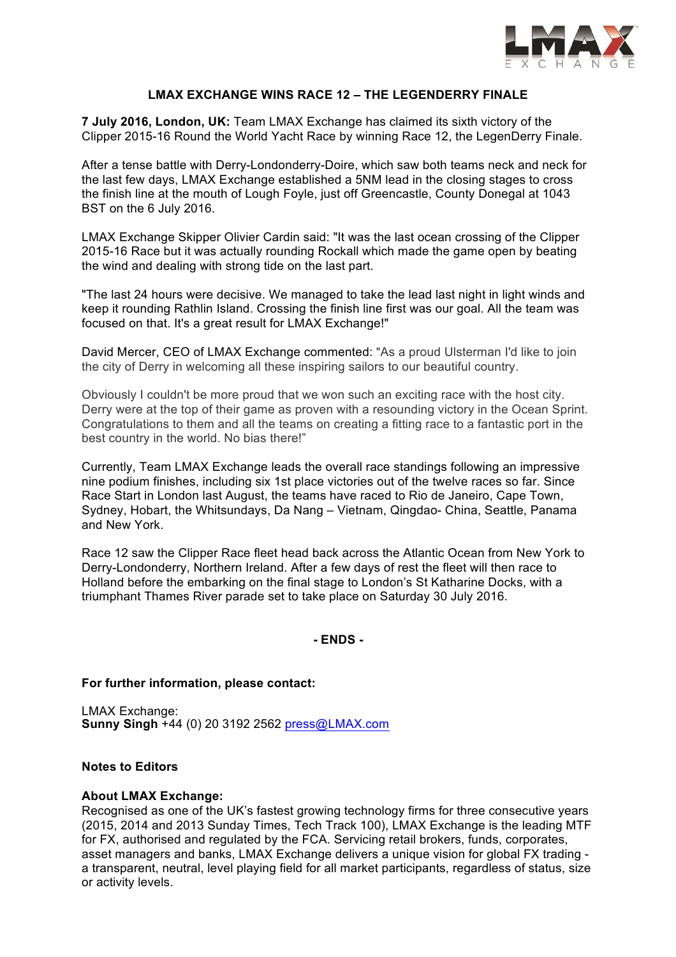

## **LMAX EXCHANGE WINS RACE 12 – THE LEGENDERRY FINALE**

**7 July 2016, London, UK:** Team LMAX Exchange has claimed its sixth victory of the Clipper 2015-16 Round the World Yacht Race by winning Race 12, the LegenDerry Finale.

After a tense battle with Derry-Londonderry-Doire, which saw both teams neck and neck for the last few days, LMAX Exchange established a 5NM lead in the closing stages to cross the finish line at the mouth of Lough Foyle, just off Greencastle, County Donegal at 1043 BST on the 6 July 2016.

LMAX Exchange Skipper Olivier Cardin said: "It was the last ocean crossing of the Clipper 2015-16 Race but it was actually rounding Rockall which made the game open by beating the wind and dealing with strong tide on the last part.

"The last 24 hours were decisive. We managed to take the lead last night in light winds and keep it rounding Rathlin Island. Crossing the finish line first was our goal. All the team was focused on that. It's a great result for LMAX Exchange!"

David Mercer, CEO of LMAX Exchange commented: "As a proud Ulsterman I'd like to join the city of Derry in welcoming all these inspiring sailors to our beautiful country.

Obviously I couldn't be more proud that we won such an exciting race with the host city. Derry were at the top of their game as proven with a resounding victory in the Ocean Sprint. Congratulations to them and all the teams on creating a fitting race to a fantastic port in the best country in the world. No bias there!"

Currently, Team LMAX Exchange leads the overall race standings following an impressive nine podium finishes, including six 1st place victories out of the twelve races so far. Since Race Start in London last August, the teams have raced to Rio de Janeiro, Cape Town, Sydney, Hobart, the Whitsundays, Da Nang – Vietnam, Qingdao- China, Seattle, Panama and New York.

Race 12 saw the Clipper Race fleet head back across the Atlantic Ocean from New York to Derry-Londonderry, Northern Ireland. After a few days of rest the fleet will then race to Holland before the embarking on the final stage to London's St Katharine Docks, with a triumphant Thames River parade set to take place on Saturday 30 July 2016.

**- ENDS -**

### **For further information, please contact:**

LMAX Exchange: **Sunny Singh** +44 (0) 20 3192 2562 press@LMAX.com

# **Notes to Editors**

### **About LMAX Exchange:**

Recognised as one of the UK's fastest growing technology firms for three consecutive years (2015, 2014 and 2013 Sunday Times, Tech Track 100), LMAX Exchange is the leading MTF for FX, authorised and regulated by the FCA. Servicing retail brokers, funds, corporates, asset managers and banks, LMAX Exchange delivers a unique vision for global FX trading a transparent, neutral, level playing field for all market participants, regardless of status, size or activity levels.